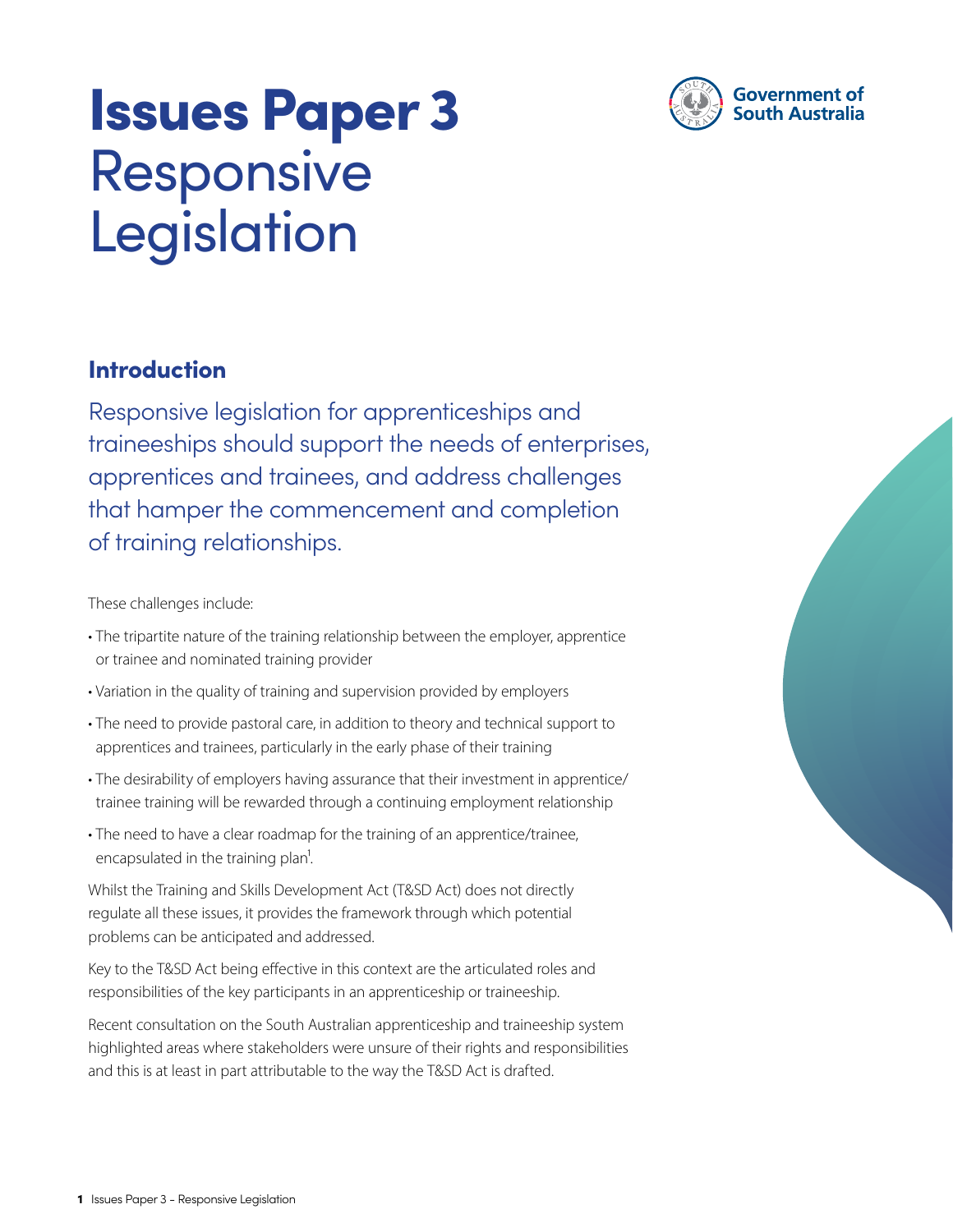

# Issues Paper 3 Responsive Legislation

## Introduction

Responsive legislation for apprenticeships and traineeships should support the needs of enterprises, apprentices and trainees, and address challenges that hamper the commencement and completion of training relationships.

These challenges include:

- The tripartite nature of the training relationship between the employer, apprentice or trainee and nominated training provider
- Variation in the quality of training and supervision provided by employers
- The need to provide pastoral care, in addition to theory and technical support to apprentices and trainees, particularly in the early phase of their training
- The desirability of employers having assurance that their investment in apprentice/ trainee training will be rewarded through a continuing employment relationship
- The need to have a clear roadmap for the training of an apprentice/trainee, encapsulated in the training plan<sup>1</sup>.

Whilst the Training and Skills Development Act (T&SD Act) does not directly regulate all these issues, it provides the framework through which potential problems can be anticipated and addressed.

Key to the T&SD Act being effective in this context are the articulated roles and responsibilities of the key participants in an apprenticeship or traineeship.

Recent consultation on the South Australian apprenticeship and traineeship system highlighted areas where stakeholders were unsure of their rights and responsibilities and this is at least in part attributable to the way the T&SD Act is drafted.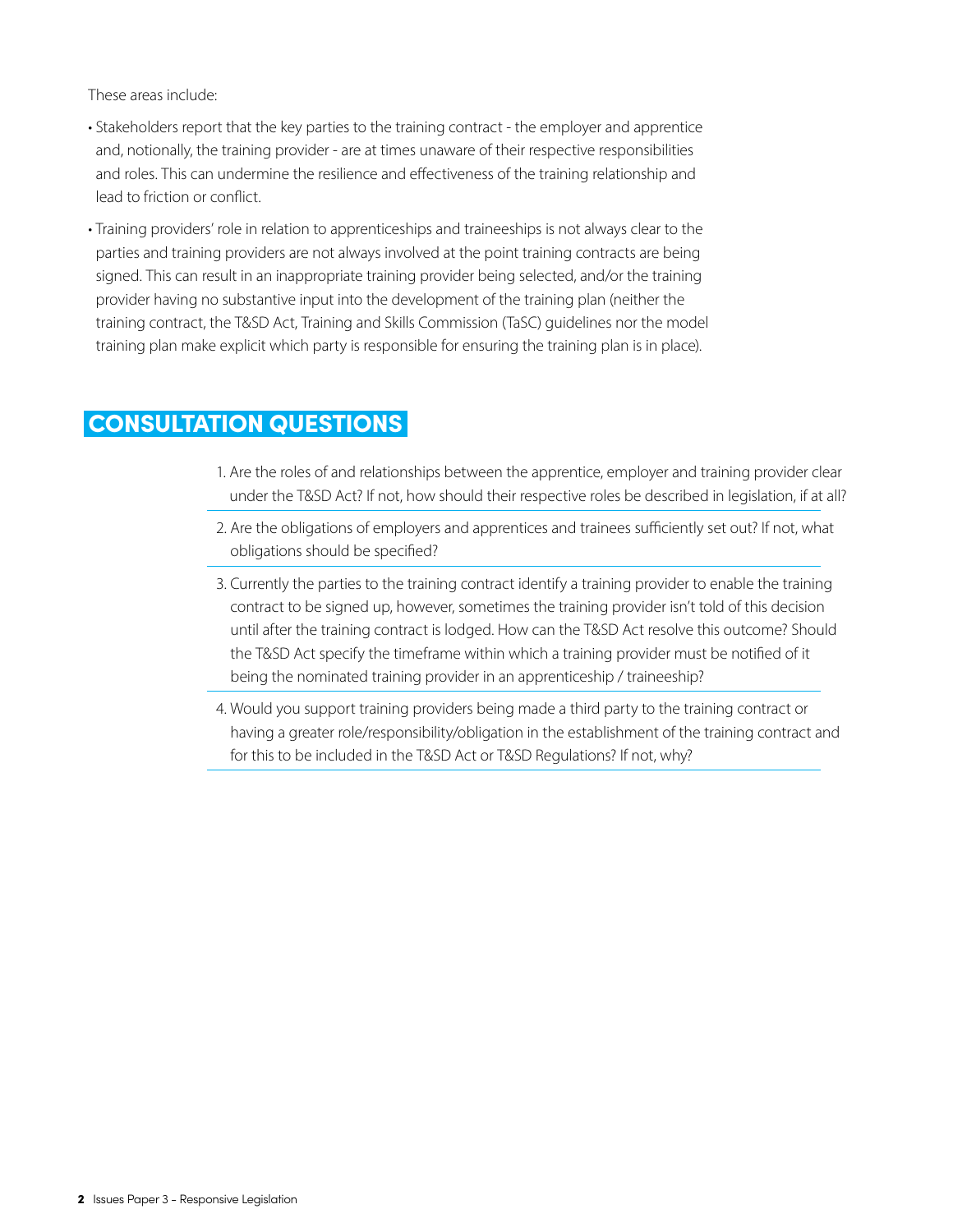These areas include:

- Stakeholders report that the key parties to the training contract the employer and apprentice and, notionally, the training provider - are at times unaware of their respective responsibilities and roles. This can undermine the resilience and effectiveness of the training relationship and lead to friction or conflict.
- Training providers' role in relation to apprenticeships and traineeships is not always clear to the parties and training providers are not always involved at the point training contracts are being signed. This can result in an inappropriate training provider being selected, and/or the training provider having no substantive input into the development of the training plan (neither the training contract, the T&SD Act, Training and Skills Commission (TaSC) guidelines nor the model training plan make explicit which party is responsible for ensuring the training plan is in place).

## CONSULTATION QUESTIONS

- 1. Are the roles of and relationships between the apprentice, employer and training provider clear under the T&SD Act? If not, how should their respective roles be described in legislation, if at all?
- 2. Are the obligations of employers and apprentices and trainees sufficiently set out? If not, what obligations should be specified?
- 3. Currently the parties to the training contract identify a training provider to enable the training contract to be signed up, however, sometimes the training provider isn't told of this decision until after the training contract is lodged. How can the T&SD Act resolve this outcome? Should the T&SD Act specify the timeframe within which a training provider must be notified of it being the nominated training provider in an apprenticeship / traineeship?
- 4. Would you support training providers being made a third party to the training contract or having a greater role/responsibility/obligation in the establishment of the training contract and for this to be included in the T&SD Act or T&SD Regulations? If not, why?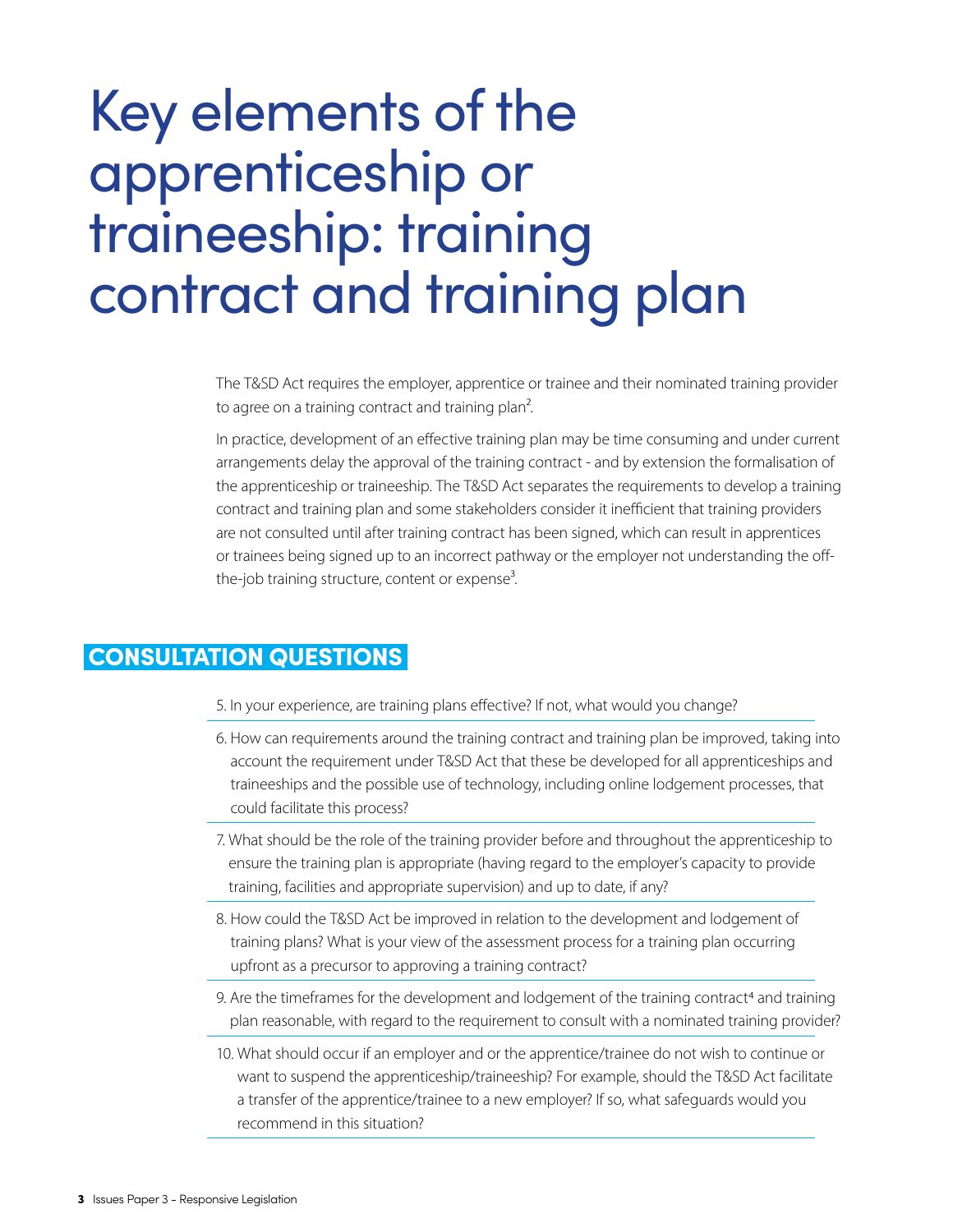# Key elements of the apprenticeship or traineeship: training contract and training plan

The T&SD Act requires the employer, apprentice or trainee and their nominated training provider to agree on a training contract and training plan<sup>2</sup>.

In practice, development of an effective training plan may be time consuming and under current arrangements delay the approval of the training contract - and by extension the formalisation of the apprenticeship or traineeship. The T&SD Act separates the requirements to develop a training contract and training plan and some stakeholders consider it inefficient that training providers are not consulted until after training contract has been signed, which can result in apprentices or trainees being signed up to an incorrect pathway or the employer not understanding the offthe-job training structure, content or expense<sup>3</sup>.

## CONSULTATION QUESTIONS

- 5. In your experience, are training plans effective? If not, what would you change?
- 6. How can requirements around the training contract and training plan be improved, taking into account the requirement under T&SD Act that these be developed for all apprenticeships and traineeships and the possible use of technology, including online lodgement processes, that could facilitate this process?
- 7. What should be the role of the training provider before and throughout the apprenticeship to ensure the training plan is appropriate (having regard to the employer's capacity to provide training, facilities and appropriate supervision) and up to date, if any?
- 8. How could the T&SD Act be improved in relation to the development and lodgement of training plans? What is your view of the assessment process for a training plan occurring upfront as a precursor to approving a training contract?
- 9. Are the timeframes for the development and lodgement of the training contract<sup>4</sup> and training plan reasonable, with regard to the requirement to consult with a nominated training provider?
- 10. What should occur if an employer and or the apprentice/trainee do not wish to continue or want to suspend the apprenticeship/traineeship? For example, should the T&SD Act facilitate a transfer of the apprentice/trainee to a new employer? If so, what safeguards would you recommend in this situation?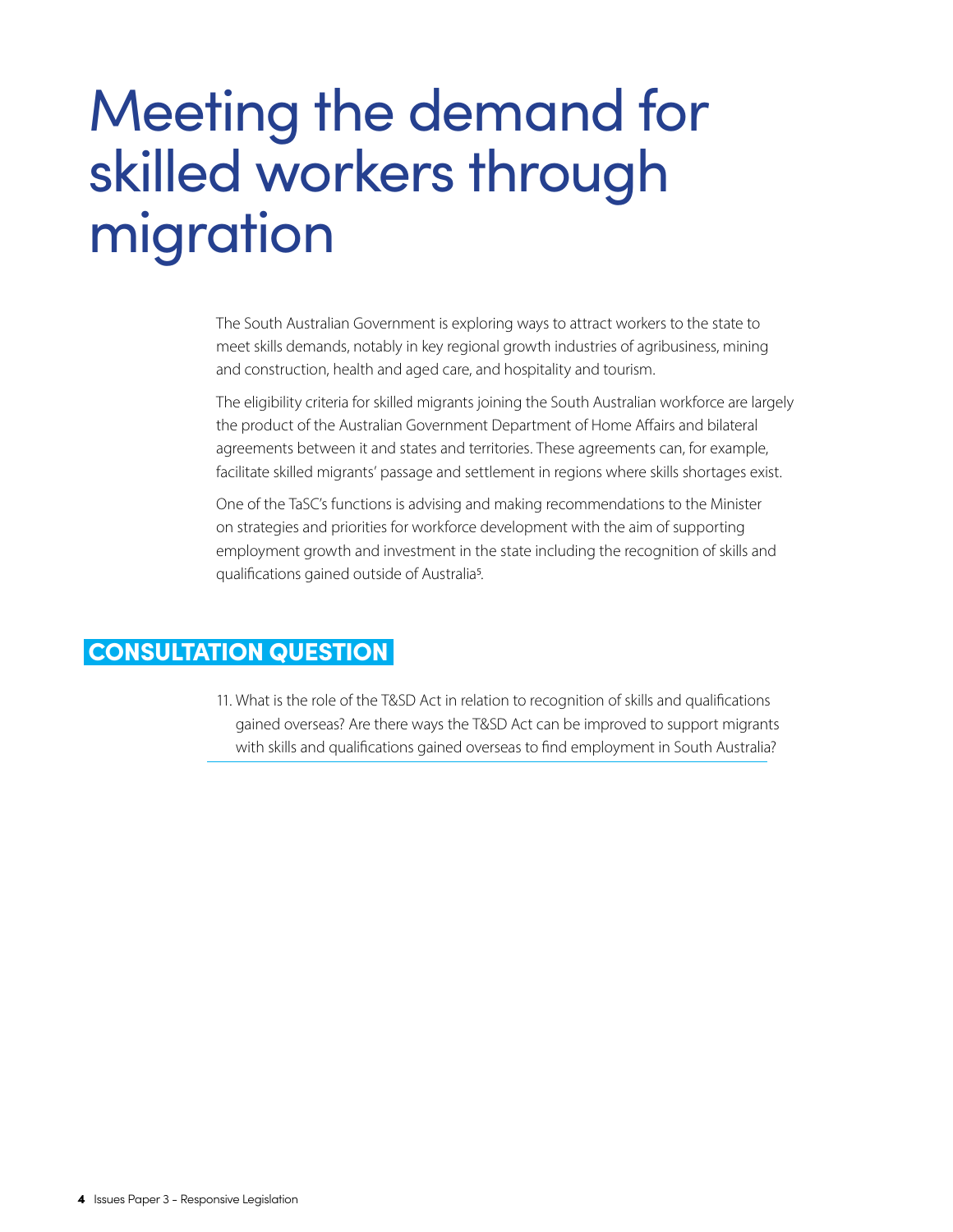# Meeting the demand for skilled workers through migration

The South Australian Government is exploring ways to attract workers to the state to meet skills demands, notably in key regional growth industries of agribusiness, mining and construction, health and aged care, and hospitality and tourism.

The eligibility criteria for skilled migrants joining the South Australian workforce are largely the product of the Australian Government Department of Home Affairs and bilateral agreements between it and states and territories. These agreements can, for example, facilitate skilled migrants' passage and settlement in regions where skills shortages exist.

One of the TaSC's functions is advising and making recommendations to the Minister on strategies and priorities for workforce development with the aim of supporting employment growth and investment in the state including the recognition of skills and qualifications gained outside of Australia5.

#### CONSULTATION QUESTION

11. What is the role of the T&SD Act in relation to recognition of skills and qualifications gained overseas? Are there ways the T&SD Act can be improved to support migrants with skills and qualifications gained overseas to find employment in South Australia?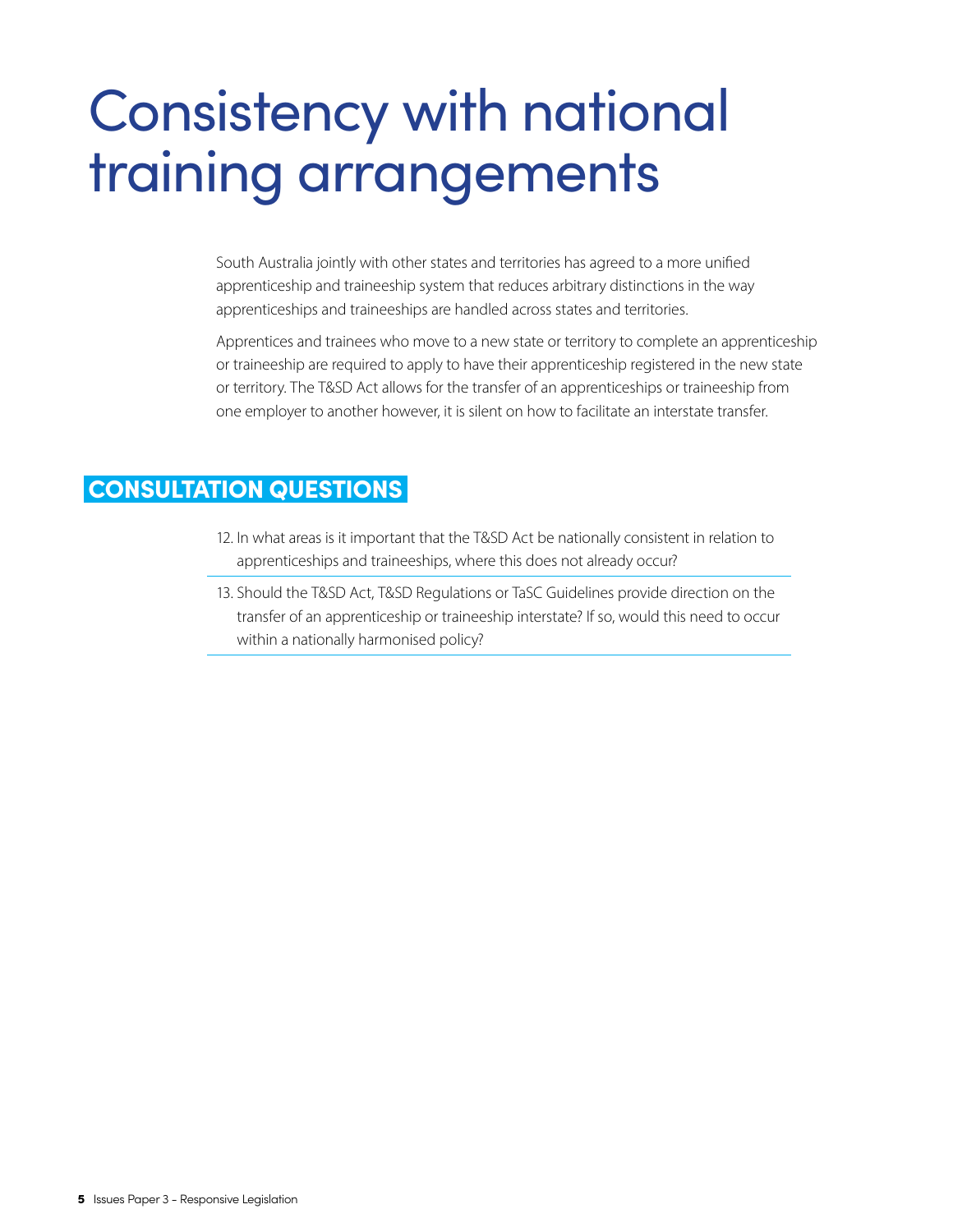# Consistency with national training arrangements

South Australia jointly with other states and territories has agreed to a more unified apprenticeship and traineeship system that reduces arbitrary distinctions in the way apprenticeships and traineeships are handled across states and territories.

Apprentices and trainees who move to a new state or territory to complete an apprenticeship or traineeship are required to apply to have their apprenticeship registered in the new state or territory. The T&SD Act allows for the transfer of an apprenticeships or traineeship from one employer to another however, it is silent on how to facilitate an interstate transfer.

### CONSULTATION QUESTIONS

- 12. In what areas is it important that the T&SD Act be nationally consistent in relation to apprenticeships and traineeships, where this does not already occur?
- 13. Should the T&SD Act, T&SD Regulations or TaSC Guidelines provide direction on the transfer of an apprenticeship or traineeship interstate? If so, would this need to occur within a nationally harmonised policy?